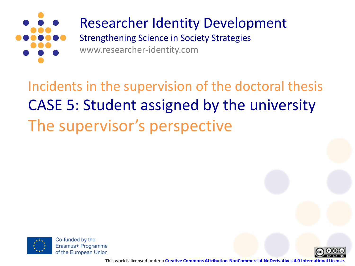

## Researcher Identity Development

Strengthening Science in Society Strategies www.researcher-identity.com

Incidents in the supervision of the doctoral thesis CASE 5: Student assigned by the university The supervisor's perspective



Co-funded by the Erasmus+ Programme of the European Union



**This work is licensed under a [Creative Commons Attribution-NonCommercial-NoDerivatives 4.0 International License.](http://creativecommons.org/licenses/by-nc-nd/4.0/)**